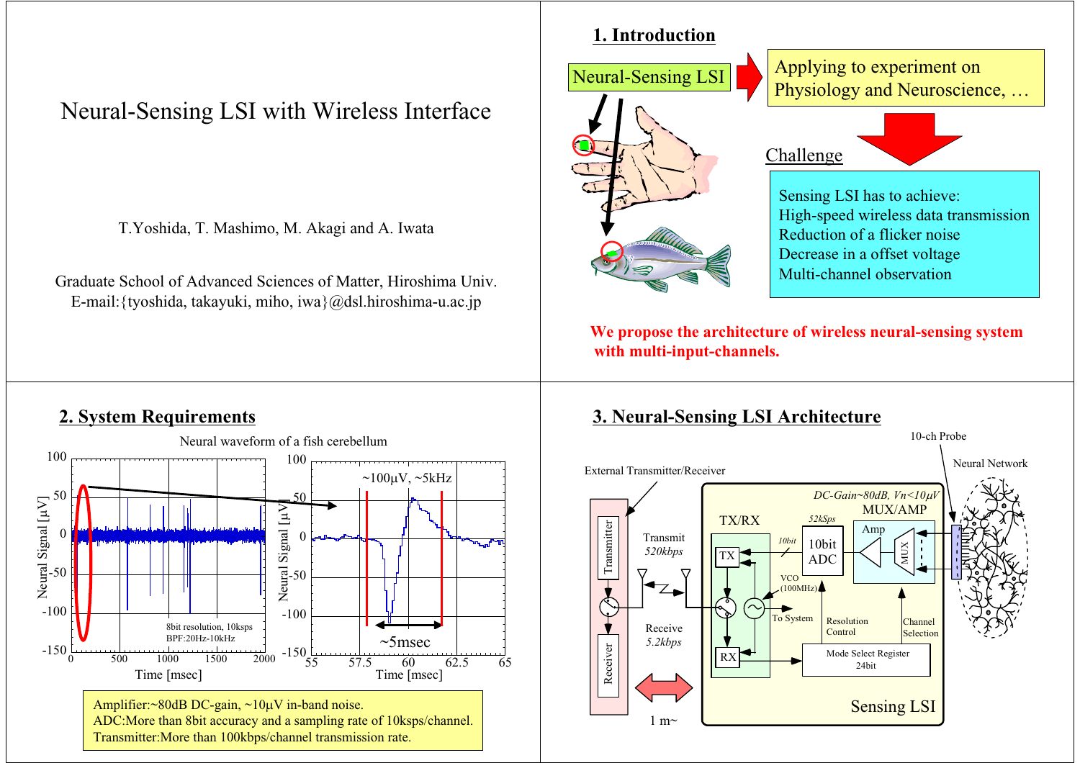# Neural-Sensing LSI with Wireless Interface

T.Yoshida, T. Mashimo, M. Akagi and A. Iwata

Graduate School of Advanced Sciences of Matter, Hiroshima Univ. E-mail:{tyoshida, takayuki, miho, iwa}@dsl.hiroshima-u.ac.jp



**We propose the architecture of wireless neural-sensing system with multi-input-channels.**

#### **2. System Requirements**



#### **3. Neural-Sensing LSI Architecture**

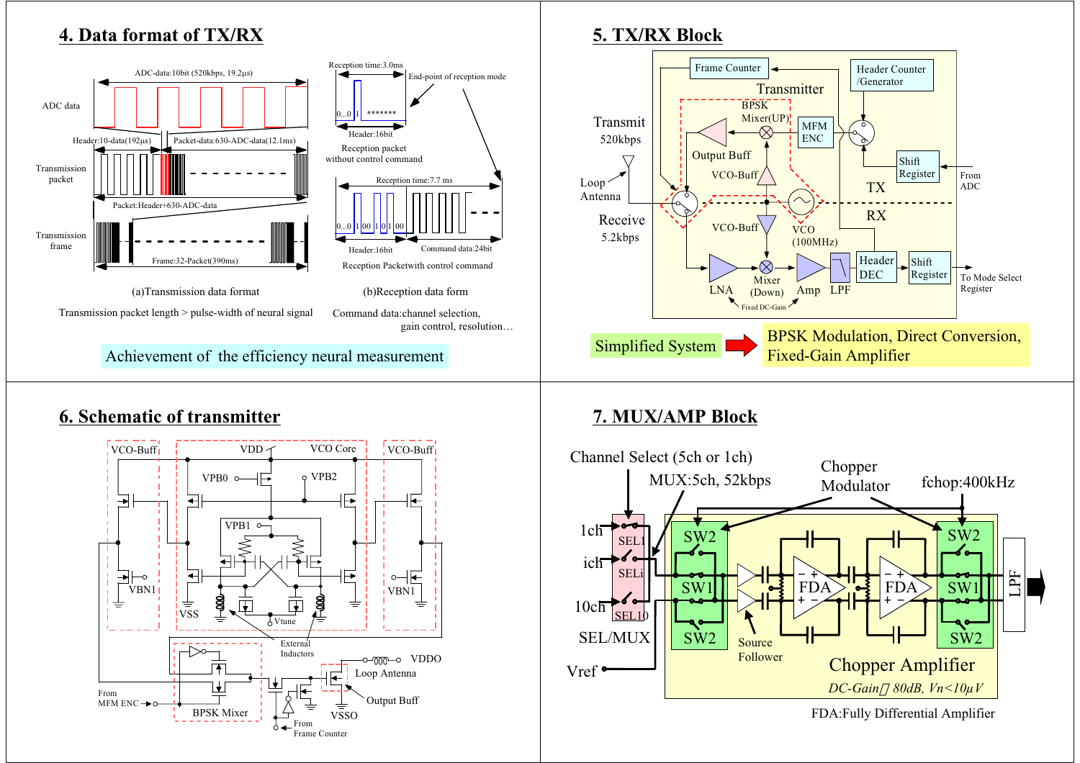## **4. Data format of TX/RX**



# **5. TX/RX Block**



## **6. Schematic of transmitter**



# **7. MUX/AMP Block**



FDA:Fully Differential Amplifier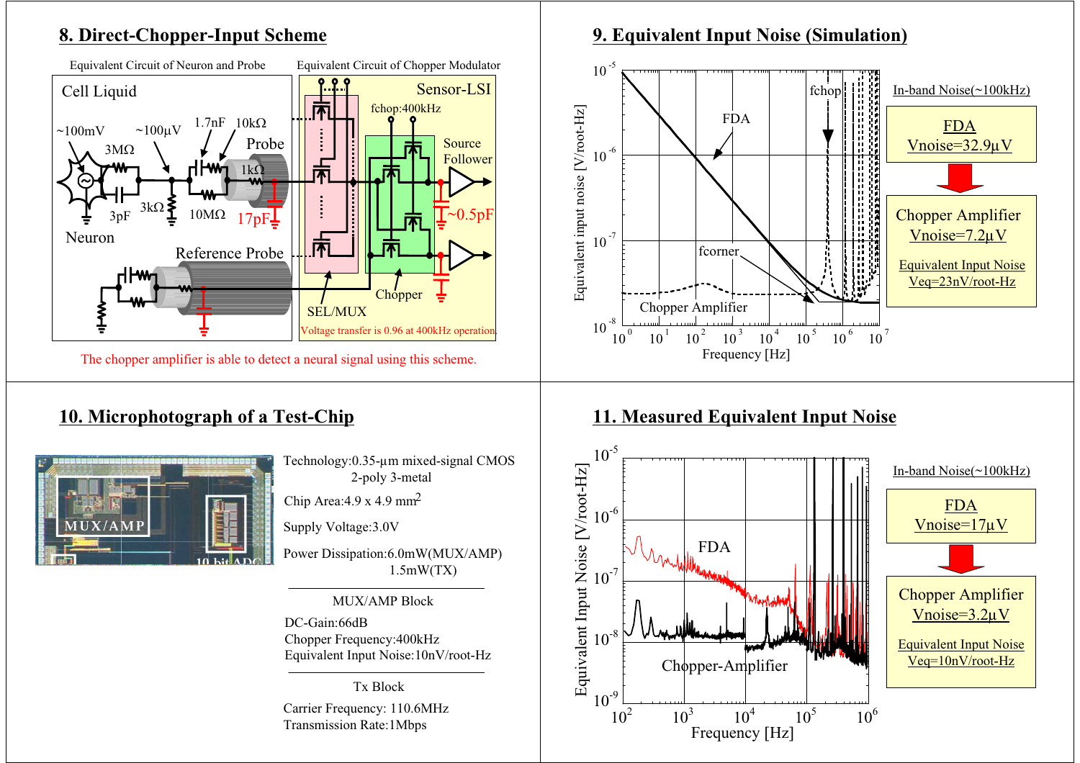### **8. Direct-Chopper-Input Scheme**



## **10. Microphotograph of a Test-Chip**



Technology:0.35-µm mixed-si gnal CMOS 2-poly 3-metal

Chip Area:  $4.9 \times 4.9$  mm<sup>2</sup>

Supply Voltage:3.0V

Power Dissipation:6.0mW(MUX/AMP) 1.5mW(TX)

MUX/AMP Block

DC-Gain:66dBChopper Frequency:400kHz Equivalent Input Noise:10nV/root-Hz

Tx BlockCarrier Frequency: 110.6MHz Transmission Rate:1Mbps

#### **9. Equivalent Input Noise (Simulation)**